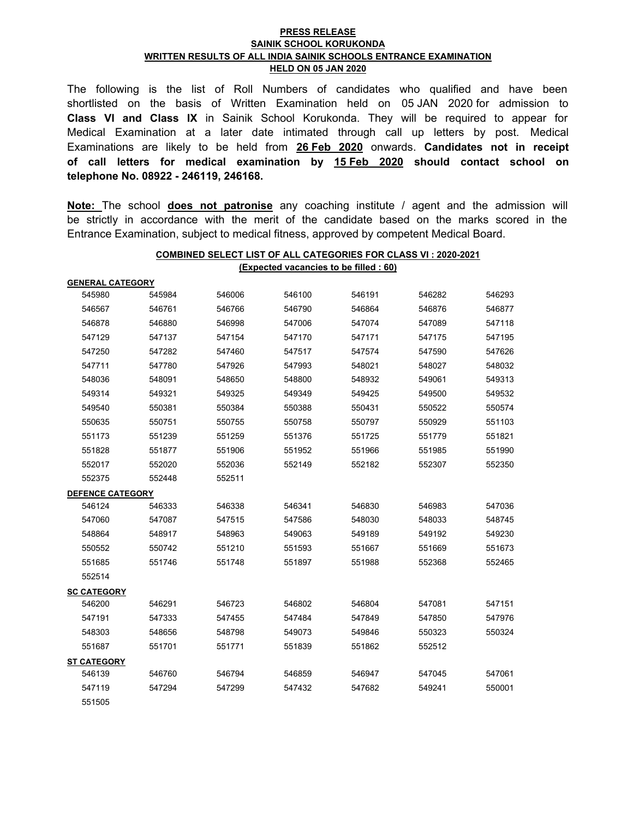## **PRESS RELEASE SAINIK SCHOOL KORUKONDA WRITTEN RESULTS OF ALL INDIA SAINIK SCHOOLS ENTRANCE EXAMINATION HELD ON 05 JAN 2020**

The following is the list of Roll Numbers of candidates who qualified and have been shortlisted on the basis of Written Examination held on 05 JAN 2020 for admission to **Class VI and Class IX** in Sainik School Korukonda. They will be required to appear for Medical Examination at a later date intimated through call up letters by post. Medical Examinations are likely to be held from **26 Feb 2020** onwards. **Candidates not in receipt of call letters for medical examination by 15 Feb 2020 should contact school on telephone No. 08922 - 246119, 246168.**

**Note:** The school **does not patronise** any coaching institute / agent and the admission will be strictly in accordance with the merit of the candidate based on the marks scored in the Entrance Examination, subject to medical fitness, approved by competent Medical Board.

**COMBINED SELECT LIST OF ALL CATEGORIES FOR CLASS VI : 2020-2021**

|                         | (Expected vacancies to be filled : 60) |        |        |        |        |        |  |  |
|-------------------------|----------------------------------------|--------|--------|--------|--------|--------|--|--|
| <b>GENERAL CATEGORY</b> |                                        |        |        |        |        |        |  |  |
| 545980                  | 545984                                 | 546006 | 546100 | 546191 | 546282 | 546293 |  |  |
| 546567                  | 546761                                 | 546766 | 546790 | 546864 | 546876 | 546877 |  |  |
| 546878                  | 546880                                 | 546998 | 547006 | 547074 | 547089 | 547118 |  |  |
| 547129                  | 547137                                 | 547154 | 547170 | 547171 | 547175 | 547195 |  |  |
| 547250                  | 547282                                 | 547460 | 547517 | 547574 | 547590 | 547626 |  |  |
| 547711                  | 547780                                 | 547926 | 547993 | 548021 | 548027 | 548032 |  |  |
| 548036                  | 548091                                 | 548650 | 548800 | 548932 | 549061 | 549313 |  |  |
| 549314                  | 549321                                 | 549325 | 549349 | 549425 | 549500 | 549532 |  |  |
| 549540                  | 550381                                 | 550384 | 550388 | 550431 | 550522 | 550574 |  |  |
| 550635                  | 550751                                 | 550755 | 550758 | 550797 | 550929 | 551103 |  |  |
| 551173                  | 551239                                 | 551259 | 551376 | 551725 | 551779 | 551821 |  |  |
| 551828                  | 551877                                 | 551906 | 551952 | 551966 | 551985 | 551990 |  |  |
| 552017                  | 552020                                 | 552036 | 552149 | 552182 | 552307 | 552350 |  |  |
| 552375                  | 552448                                 | 552511 |        |        |        |        |  |  |
| <b>DEFENCE CATEGORY</b> |                                        |        |        |        |        |        |  |  |
| 546124                  | 546333                                 | 546338 | 546341 | 546830 | 546983 | 547036 |  |  |
| 547060                  | 547087                                 | 547515 | 547586 | 548030 | 548033 | 548745 |  |  |
| 548864                  | 548917                                 | 548963 | 549063 | 549189 | 549192 | 549230 |  |  |
| 550552                  | 550742                                 | 551210 | 551593 | 551667 | 551669 | 551673 |  |  |
| 551685                  | 551746                                 | 551748 | 551897 | 551988 | 552368 | 552465 |  |  |
| 552514                  |                                        |        |        |        |        |        |  |  |
| <b>SC CATEGORY</b>      |                                        |        |        |        |        |        |  |  |
| 546200                  | 546291                                 | 546723 | 546802 | 546804 | 547081 | 547151 |  |  |
| 547191                  | 547333                                 | 547455 | 547484 | 547849 | 547850 | 547976 |  |  |
| 548303                  | 548656                                 | 548798 | 549073 | 549846 | 550323 | 550324 |  |  |
| 551687                  | 551701                                 | 551771 | 551839 | 551862 | 552512 |        |  |  |
| <b>ST CATEGORY</b>      |                                        |        |        |        |        |        |  |  |
| 546139                  | 546760                                 | 546794 | 546859 | 546947 | 547045 | 547061 |  |  |
| 547119                  | 547294                                 | 547299 | 547432 | 547682 | 549241 | 550001 |  |  |
| 551505                  |                                        |        |        |        |        |        |  |  |